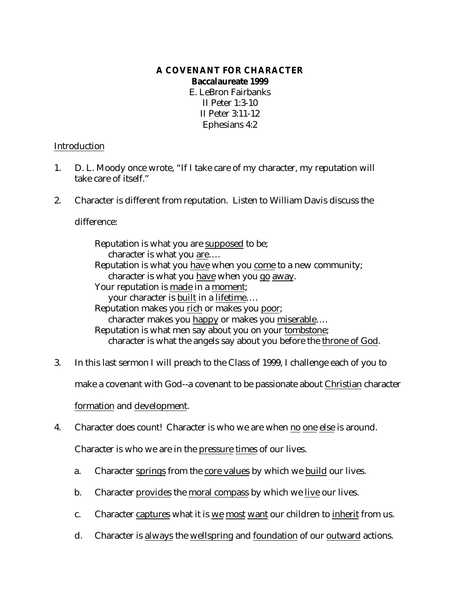# **A COVENANT FOR CHARACTER Baccalaureate 1999**

E. LeBron Fairbanks II Peter 1:3-10 II Peter 3:11-12 Ephesians 4:2

### Introduction

- 1. D. L. Moody once wrote, "If I take care of my character, my reputation will take care of itself."
- 2. Character is different from reputation. Listen to William Davis discuss the

difference:

Reputation is what you are supposed to be; character is what you are.... Reputation is what you have when you come to a new community; character is what you have when you go away. Your reputation is made in a moment; your character is built in a lifetime…. Reputation makes you rich or makes you poor; character makes you happy or makes you miserable…. Reputation is what men say about you on your tombstone; character is what the angels say about you before the throne of God.

3. In this last sermon I will preach to the Class of 1999, I challenge each of you to

make a covenant with God--a covenant to be passionate about Christian character

### formation and development.

4. Character does count! Character is who we are when no one else is around.

Character is who we are in the pressure times of our lives.

- a. Character springs from the core values by which we build our lives.
- b. Character provides the moral compass by which we live our lives.
- c. Character captures what it is we most want our children to inherit from us.
- d. Character is always the wellspring and foundation of our outward actions.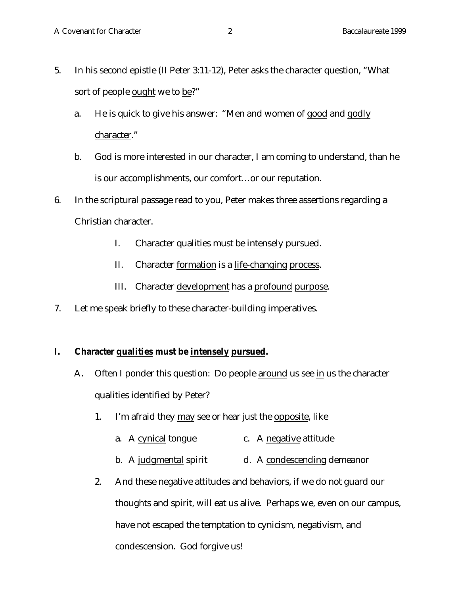- 5. In his second epistle (II Peter 3:11-12), Peter asks the character question, "What sort of people ought we to be?"
	- a. He is quick to give his answer: "Men and women of good and godly character."
	- b. God is more interested in our character, I am coming to understand, than he is our accomplishments, our comfort…or our reputation.
- 6. In the scriptural passage read to you, Peter makes three assertions regarding a Christian character.
	- I. Character qualities must be intensely pursued.
	- II. Character formation is a life-changing process.
	- III. Character development has a profound purpose.
- 7. Let me speak briefly to these character-building imperatives.

# **I. Character qualities must be intensely pursued.**

- A. Often I ponder this question: Do people around us see in us the character qualities identified by Peter?
	- 1. I'm afraid they may see or hear just the opposite, like
		- a. A cynical tongue c. A negative attitude
		- b. A judgmental spirit d. A condescending demeanor
	- 2. And these negative attitudes and behaviors, if we do not guard our thoughts and spirit, will eat us alive. Perhaps we, even on our campus, have not escaped the temptation to cynicism, negativism, and condescension. God forgive us!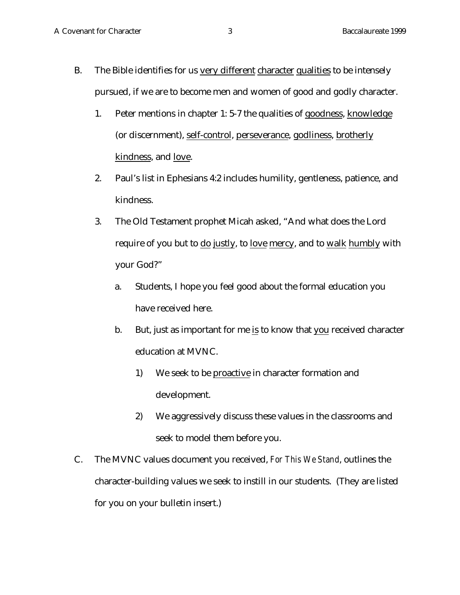- B. The Bible identifies for us very different character qualities to be intensely pursued, if we are to become men and women of good and godly character.
	- 1. Peter mentions in chapter 1: 5-7 the qualities of goodness, knowledge (or discernment), self-control, perseverance, godliness, brotherly kindness, and love.
	- 2. Paul's list in Ephesians 4:2 includes humility, gentleness, patience, and kindness.
	- 3. The Old Testament prophet Micah asked, "And what does the Lord require of you but to do justly, to love mercy, and to walk humbly with your God?"
		- a. Students, I hope you feel good about the formal education you have received here.
		- b. But, just as important for me is to know that you received character education at MVNC.
			- 1) We seek to be proactive in character formation and development.
			- 2) We aggressively discuss these values in the classrooms and seek to model them before you.
- C. The MVNC values document you received, *For This We Stand*, outlines the character-building values we seek to instill in our students. (They are listed for you on your bulletin insert.)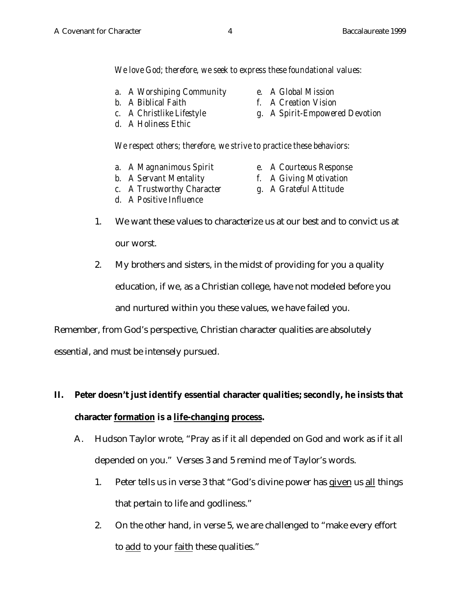*We love God; therefore, we seek to express these foundational values:*

*We respect others; therefore, we strive to practice these behaviors:*

- *a. A Worshiping Community e. A Global Mission*
- 
- 
- *d. A Holiness Ethic*

- *a. A Magnanimous Spirit e. A Courteous Response*
- 
- *b. A Servant Mentality f. A Giving Motivation*
- *c. A Trustworthy Character g. A Grateful Attitude*
- *d. A Positive Influence*
- 
- 1. We want these values to characterize us at our best and to convict us at our worst.
- 2. My brothers and sisters, in the midst of providing for you a quality education, if we, as a Christian college, have not modeled before you and nurtured within you these values, we have failed you.

Remember, from God's perspective, Christian character qualities are absolutely

essential, and must be intensely pursued.

# **II. Peter doesn't just identify essential character qualities; secondly, he insists that character formation is a life-changing process.**

- A. Hudson Taylor wrote, "Pray as if it all depended on God and work as if it all depended on you." Verses 3 and 5 remind me of Taylor's words.
	- 1. Peter tells us in verse 3 that "God's divine power has given us all things that pertain to life and godliness."
	- 2. On the other hand, in verse 5, we are challenged to "make every effort to add to your faith these qualities."
- 
- *b. A Biblical Faith f. A Creation Vision*
- *c. A Christlike Lifestyle g. A Spirit-Empowered Devotion*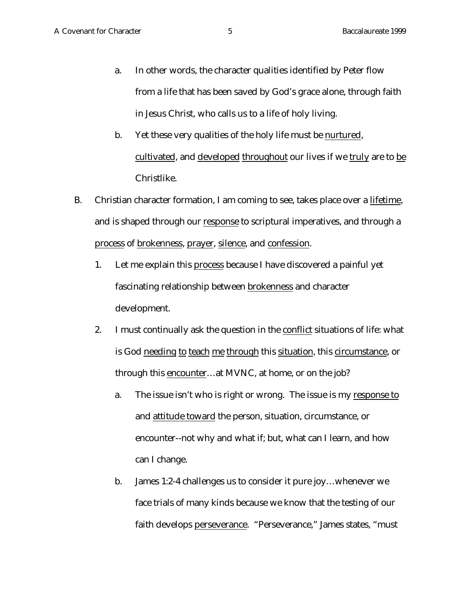- a. In other words, the character qualities identified by Peter flow from a life that has been saved by God's grace alone, through faith in Jesus Christ, who calls us to a life of holy living.
- b. Yet these very qualities of the holy life must be nurtured, cultivated, and developed throughout our lives if we truly are to be Christlike.
- B. Christian character formation, I am coming to see, takes place over a lifetime, and is shaped through our response to scriptural imperatives, and through a process of brokenness, prayer, silence, and confession.
	- 1. Let me explain this process because I have discovered a painful yet fascinating relationship between brokenness and character development.
	- 2. I must continually ask the question in the conflict situations of life: what is God needing to teach me through this situation, this circumstance, or through this encounter…at MVNC, at home, or on the job?
		- a. The issue isn't who is right or wrong. The issue is my response to and attitude toward the person, situation, circumstance, or encounter--not why and what if; but, what can I learn, and how can I change.
		- b. James 1:2-4 challenges us to consider it pure joy…whenever we face trials of many kinds because we know that the testing of our faith develops perseverance. "Perseverance," James states, "must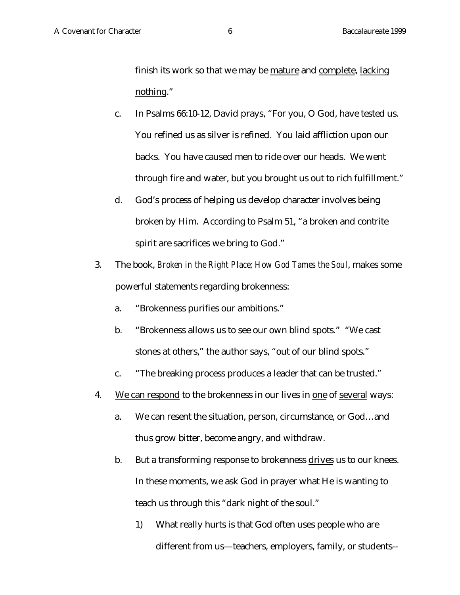finish its work so that we may be mature and complete, lacking nothing."

- c. In Psalms 66:10-12, David prays, "For you, O God, have tested us. You refined us as silver is refined. You laid affliction upon our backs. You have caused men to ride over our heads. We went through fire and water, but you brought us out to rich fulfillment."
- d. God's process of helping us develop character involves being broken by Him. According to Psalm 51, "a broken and contrite spirit are sacrifices we bring to God."
- 3. The book, *Broken in the Right Place; How God Tames the Soul*, makes some powerful statements regarding brokenness:
	- a. "Brokenness purifies our ambitions."
	- b. "Brokenness allows us to see our own blind spots." "We cast stones at others," the author says, "out of our blind spots."
	- c. "The breaking process produces a leader that can be trusted."
- 4. We can respond to the brokenness in our lives in one of several ways:
	- a. We can resent the situation, person, circumstance, or God…and thus grow bitter, become angry, and withdraw.
	- b. But a transforming response to brokenness drives us to our knees. In these moments, we ask God in prayer what He is wanting to teach us through this "dark night of the soul."
		- 1) What really hurts is that God often uses people who are different from us—teachers, employers, family, or students--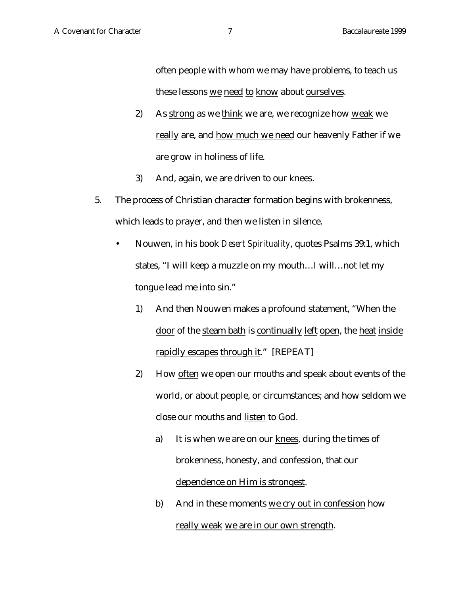often people with whom we may have problems, to teach us these lessons we need to know about ourselves.

- 2) As strong as we think we are, we recognize how weak we really are, and how much we need our heavenly Father if we are grow in holiness of life.
- 3) And, again, we are driven to our knees.
- 5. The process of Christian character formation begins with brokenness, which leads to prayer, and then we listen in silence.
	- Nouwen, in his book *Desert Spirituality*, quotes Psalms 39:1, which states, "I will keep a muzzle on my mouth…I will…not let my tongue lead me into sin."
		- 1) And then Nouwen makes a profound statement, "When the door of the steam bath is continually left open, the heat inside rapidly escapes through it." [REPEAT]
		- 2) How often we open our mouths and speak about events of the world, or about people, or circumstances; and how seldom we close our mouths and listen to God.
			- a) It is when we are on our knees, during the times of brokenness, honesty, and confession, that our dependence on Him is strongest.
			- b) And in these moments we cry out in confession how really weak we are in our own strength.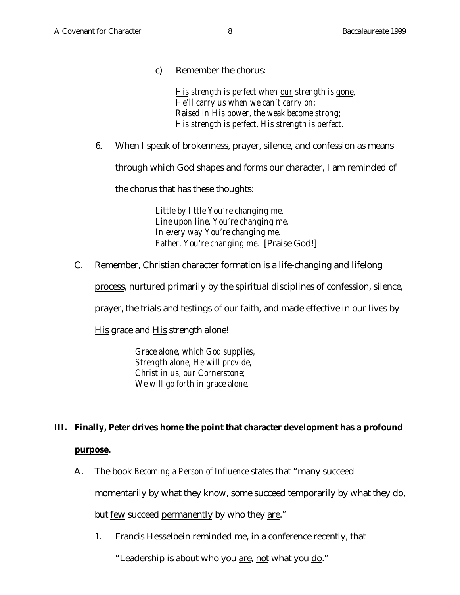c) Remember the chorus:

*His strength is perfect when our strength is gone, He'll carry us when we can't carry on; Raised in His power, the weak become strong; His strength is perfect, His strength is perfect.*

6. When I speak of brokenness, prayer, silence, and confession as means

through which God shapes and forms our character, I am reminded of

the chorus that has these thoughts:

*Little by little You're changing me. Line upon line, You're changing me. In every way You're changing me. Father, You're changing me.* [Praise God!]

C. Remember, Christian character formation is a life-changing and lifelong

process, nurtured primarily by the spiritual disciplines of confession, silence,

prayer, the trials and testings of our faith, and made effective in our lives by

His grace and His strength alone!

*Grace alone, which God supplies, Strength alone, He will provide, Christ in us, our Cornerstone; We will go forth in grace alone.*

# **III. Finally, Peter drives home the point that character development has a profound**

### **purpose.**

A. The book *Becoming a Person of Influence* states that "many succeed

momentarily by what they know, some succeed temporarily by what they do,

but few succeed permanently by who they are."

1. Francis Hesselbein reminded me, in a conference recently, that

"Leadership is about who you are, not what you do."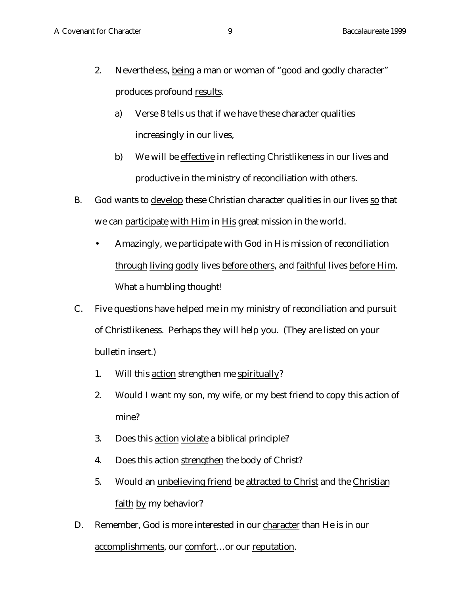- 2. Nevertheless, being a man or woman of "good and godly character" produces profound results.
	- a) Verse 8 tells us that if we have these character qualities increasingly in our lives,
	- b) We will be effective in reflecting Christlikeness in our lives and productive in the ministry of reconciliation with others.
- B. God wants to develop these Christian character qualities in our lives so that we can participate with Him in His great mission in the world.
	- Amazingly, we participate with God in His mission of reconciliation through living godly lives before others, and faithful lives before Him. What a humbling thought!
- C. Five questions have helped me in my ministry of reconciliation and pursuit of Christlikeness. Perhaps they will help you. (They are listed on your bulletin insert.)
	- 1. Will this action strengthen me spiritually?
	- 2. Would I want my son, my wife, or my best friend to copy this action of mine?
	- 3. Does this action violate a biblical principle?
	- 4. Does this action strengthen the body of Christ?
	- 5. Would an unbelieving friend be attracted to Christ and the Christian faith by my behavior?
- D. Remember, God is more interested in our character than He is in our accomplishments, our comfort…or our reputation.